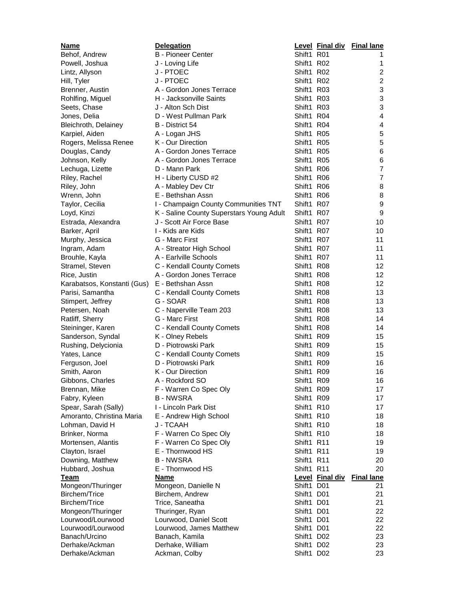| <u>Name</u>                        | <b>Delegation</b>                        |            | Level Final div        | <b>Final lane</b>         |
|------------------------------------|------------------------------------------|------------|------------------------|---------------------------|
| Behof, Andrew                      | <b>B</b> - Pioneer Center                | Shift1 R01 |                        |                           |
| Powell, Joshua                     | J - Loving Life                          | Shift1 R02 |                        | 1                         |
| Lintz, Allyson                     | J - PTOEC                                | Shift1 R02 |                        | $\overline{c}$            |
| Hill, Tyler                        | J - PTOEC                                | Shift1 R02 |                        | $\overline{c}$            |
| Brenner, Austin                    | A - Gordon Jones Terrace                 | Shift1 R03 |                        | $\ensuremath{\mathsf{3}}$ |
| Rohlfing, Miguel                   | H - Jacksonville Saints                  | Shift1 R03 |                        | $\ensuremath{\mathsf{3}}$ |
| Seets, Chase                       | J - Alton Sch Dist                       | Shift1 R03 |                        | $\mathfrak{B}$            |
| Jones, Delia                       | D - West Pullman Park                    | Shift1 R04 |                        | $\overline{\mathbf{4}}$   |
| Bleichroth, Delainey               | B - District 54                          | Shift1 R04 |                        | $\overline{\mathbf{4}}$   |
| Karpiel, Aiden                     | A - Logan JHS                            | Shift1 R05 |                        | 5                         |
| Rogers, Melissa Renee              | K - Our Direction                        | Shift1 R05 |                        | $\sqrt{5}$                |
| Douglas, Candy                     | A - Gordon Jones Terrace                 | Shift1 R05 |                        | 6                         |
| Johnson, Kelly                     | A - Gordon Jones Terrace                 | Shift1 R05 |                        | 6                         |
| Lechuga, Lizette                   | D - Mann Park                            | Shift1 R06 |                        | $\overline{7}$            |
| Riley, Rachel                      | H - Liberty CUSD #2                      | Shift1 R06 |                        | $\overline{7}$            |
| Riley, John                        | A - Mabley Dev Ctr                       | Shift1 R06 |                        | 8                         |
| Wrenn, John                        | E - Bethshan Assn                        | Shift1 R06 |                        | 8                         |
| Taylor, Cecilia                    | I - Champaign County Communities TNT     | Shift1 R07 |                        | $\boldsymbol{9}$          |
| Loyd, Kinzi                        | K - Saline County Superstars Young Adult | Shift1 R07 |                        | $\boldsymbol{9}$          |
| Estrada, Alexandra                 | J - Scott Air Force Base                 | Shift1 R07 |                        | 10                        |
| Barker, April                      | I - Kids are Kids                        | Shift1 R07 |                        | 10                        |
| Murphy, Jessica                    | G - Marc First                           | Shift1 R07 |                        | 11                        |
| Ingram, Adam                       | A - Streator High School                 | Shift1 R07 |                        | 11                        |
| Brouhle, Kayla                     | A - Earlville Schools                    | Shift1 R07 |                        | 11                        |
| Stramel, Steven                    | C - Kendall County Comets                | Shift1 R08 |                        | 12                        |
| Rice, Justin                       | A - Gordon Jones Terrace                 | Shift1 R08 |                        | 12 <sup>2</sup>           |
| Karabatsos, Konstanti (Gus)        | E - Bethshan Assn                        | Shift1 R08 |                        | 12                        |
| Parisi, Samantha                   | C - Kendall County Comets                | Shift1 R08 |                        | 13                        |
| Stimpert, Jeffrey                  | G - SOAR                                 | Shift1 R08 |                        | 13                        |
| Petersen, Noah                     | C - Naperville Team 203                  | Shift1 R08 |                        | 13                        |
| Ratliff, Sherry                    | G - Marc First                           | Shift1 R08 |                        | 14                        |
| Steininger, Karen                  | C - Kendall County Comets                | Shift1 R08 |                        | 14                        |
| Sanderson, Syndal                  | K - Olney Rebels                         | Shift1 R09 |                        | 15                        |
| Rushing, Delycionia                | D - Piotrowski Park                      | Shift1 R09 |                        | 15                        |
| Yates, Lance                       | C - Kendall County Comets                | Shift1 R09 |                        | 15                        |
| Ferguson, Joel                     | D - Piotrowski Park                      | Shift1 R09 |                        | 16                        |
| Smith, Aaron                       | K - Our Direction                        | Shift1 R09 |                        | 16                        |
| Gibbons, Charles                   | A - Rockford SO                          | Shift1 R09 |                        | 16                        |
| Brennan, Mike                      | F - Warren Co Spec Oly                   | Shift1 R09 |                        | 17                        |
| Fabry, Kyleen                      | <b>B-NWSRA</b>                           | Shift1 R09 |                        | 17                        |
| Spear, Sarah (Sally)               | I - Lincoln Park Dist                    | Shift1 R10 |                        | 17                        |
| Amoranto, Christina Maria          | E - Andrew High School                   | Shift1 R10 |                        | 18                        |
| Lohman, David H                    | J - TCAAH                                | Shift1 R10 |                        | 18                        |
| Brinker, Norma                     | F - Warren Co Spec Oly                   | Shift1 R10 |                        | 18                        |
| Mortensen, Alantis                 | F - Warren Co Spec Oly                   | Shift1 R11 |                        | 19                        |
| Clayton, Israel                    | E - Thornwood HS                         | Shift1 R11 |                        | 19                        |
| Downing, Matthew                   | <b>B-NWSRA</b>                           | Shift1 R11 |                        | 20                        |
| Hubbard, Joshua                    | E - Thornwood HS                         | Shift1 R11 |                        | 20                        |
| Team                               | <b>Name</b>                              | Shift1 D01 | <b>Level Final div</b> | <b>Final lane</b><br>21   |
| Mongeon/Thuringer<br>Birchem/Trice | Mongeon, Danielle N<br>Birchem, Andrew   | Shift1     | D <sub>01</sub>        | 21                        |
| Birchem/Trice                      | Trice, Saneatha                          | Shift1     | D <sub>01</sub>        | 21                        |
| Mongeon/Thuringer                  | Thuringer, Ryan                          | Shift1     | D <sub>01</sub>        | 22                        |
| Lourwood/Lourwood                  | Lourwood, Daniel Scott                   | Shift1     | D <sub>01</sub>        | 22                        |
| Lourwood/Lourwood                  | Lourwood, James Matthew                  | Shift1     | D <sub>01</sub>        | 22                        |
| Banach/Urcino                      | Banach, Kamila                           | Shift1     | D <sub>02</sub>        | 23                        |
| Derhake/Ackman                     | Derhake, William                         | Shift1     | D <sub>02</sub>        | 23                        |
| Derhake/Ackman                     | Ackman, Colby                            | Shift1 D02 |                        | 23                        |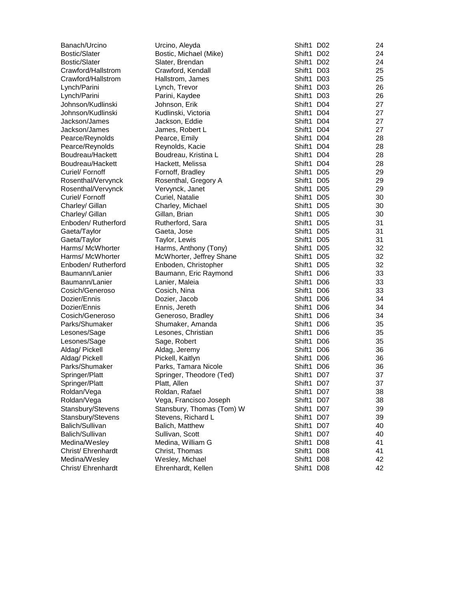| Banach/Urcino        | Urcino, Aleyda            | Shift1 D02 | 24 |
|----------------------|---------------------------|------------|----|
| Bostic/Slater        | Bostic, Michael (Mike)    | Shift1 D02 | 24 |
| <b>Bostic/Slater</b> | Slater, Brendan           | Shift1 D02 | 24 |
| Crawford/Hallstrom   | Crawford, Kendall         | Shift1 D03 | 25 |
| Crawford/Hallstrom   | Hallstrom, James          | Shift1 D03 | 25 |
| Lynch/Parini         | Lynch, Trevor             | Shift1 D03 | 26 |
| Lynch/Parini         | Parini, Kaydee            | Shift1 D03 | 26 |
| Johnson/Kudlinski    | Johnson, Erik             | Shift1 D04 | 27 |
| Johnson/Kudlinski    | Kudlinski, Victoria       | Shift1 D04 | 27 |
| Jackson/James        | Jackson, Eddie            | Shift1 D04 | 27 |
| Jackson/James        | James, Robert L           | Shift1 D04 | 27 |
| Pearce/Reynolds      | Pearce, Emily             | Shift1 D04 | 28 |
| Pearce/Reynolds      | Reynolds, Kacie           | Shift1 D04 | 28 |
| Boudreau/Hackett     | Boudreau, Kristina L      | Shift1 D04 | 28 |
| Boudreau/Hackett     | Hackett, Melissa          | Shift1 D04 | 28 |
| Curiel/ Fornoff      | Fornoff, Bradley          | Shift1 D05 | 29 |
| Rosenthal/Vervynck   | Rosenthal, Gregory A      | Shift1 D05 | 29 |
| Rosenthal/Vervynck   | Vervynck, Janet           | Shift1 D05 | 29 |
| Curiel/ Fornoff      | Curiel, Natalie           | Shift1 D05 | 30 |
| Charley/ Gillan      | Charley, Michael          | Shift1 D05 | 30 |
| Charley/ Gillan      | Gillan, Brian             | Shift1 D05 | 30 |
| Enboden/ Rutherford  | Rutherford, Sara          | Shift1 D05 | 31 |
| Gaeta/Taylor         | Gaeta, Jose               | Shift1 D05 | 31 |
| Gaeta/Taylor         | Taylor, Lewis             | Shift1 D05 | 31 |
| Harms/ McWhorter     | Harms, Anthony (Tony)     | Shift1 D05 | 32 |
| Harms/ McWhorter     | McWhorter, Jeffrey Shane  | Shift1 D05 | 32 |
| Enboden/ Rutherford  | Enboden, Christopher      | Shift1 D05 | 32 |
| Baumann/Lanier       | Baumann, Eric Raymond     | Shift1 D06 | 33 |
| Baumann/Lanier       | Lanier, Maleia            | Shift1 D06 | 33 |
| Cosich/Generoso      | Cosich, Nina              | Shift1 D06 | 33 |
| Dozier/Ennis         | Dozier, Jacob             | Shift1 D06 | 34 |
| Dozier/Ennis         | Ennis, Jereth             | Shift1 D06 | 34 |
| Cosich/Generoso      | Generoso, Bradley         | Shift1 D06 | 34 |
| Parks/Shumaker       | Shumaker, Amanda          | Shift1 D06 | 35 |
| Lesones/Sage         | Lesones, Christian        | Shift1 D06 | 35 |
| Lesones/Sage         | Sage, Robert              | Shift1 D06 | 35 |
| Aldag/ Pickell       | Aldag, Jeremy             | Shift1 D06 | 36 |
| Aldag/ Pickell       | Pickell, Kaitlyn          | Shift1 D06 | 36 |
| Parks/Shumaker       | Parks, Tamara Nicole      | Shift1 D06 | 36 |
| Springer/Platt       | Springer, Theodore (Ted)  | Shift1 D07 | 37 |
| Springer/Platt       | Platt, Allen              | Shift1 D07 | 37 |
| Roldan/Vega          | Roldan, Rafael            | Shift1 D07 | 38 |
| Roldan/Vega          | Vega, Francisco Joseph    | Shift1 D07 | 38 |
| Stansbury/Stevens    | Stansbury, Thomas (Tom) W | Shift1 D07 | 39 |
| Stansbury/Stevens    | Stevens, Richard L        | Shift1 D07 | 39 |
| Balich/Sullivan      | Balich, Matthew           | Shift1 D07 | 40 |
| Balich/Sullivan      | Sullivan, Scott           | Shift1 D07 | 40 |
| Medina/Wesley        | Medina, William G         | Shift1 D08 | 41 |
| Christ/ Ehrenhardt   | Christ, Thomas            | Shift1 D08 | 41 |
| Medina/Wesley        | Wesley, Michael           | Shift1 D08 | 42 |
| Christ/ Ehrenhardt   | Ehrenhardt, Kellen        | Shift1 D08 | 42 |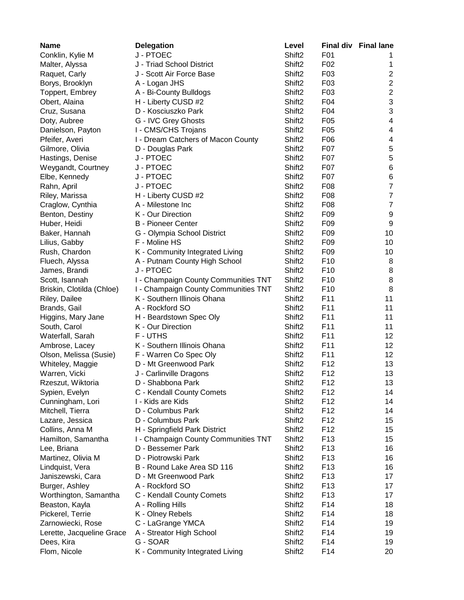| <b>Name</b>               | <b>Delegation</b>                    | Level              | <b>Final div</b> | <b>Final lane</b> |
|---------------------------|--------------------------------------|--------------------|------------------|-------------------|
| Conklin, Kylie M          | J - PTOEC                            | Shift <sub>2</sub> | F01              | 1                 |
| Malter, Alyssa            | J - Triad School District            | Shift <sub>2</sub> | F02              | 1                 |
| Raquet, Carly             | J - Scott Air Force Base             | Shift <sub>2</sub> | F03              | $\mathbf{2}$      |
| Borys, Brooklyn           | A - Logan JHS                        | Shift <sub>2</sub> | F03              | $\overline{c}$    |
| Toppert, Embrey           | A - Bi-County Bulldogs               | Shift <sub>2</sub> | F03              | $\overline{c}$    |
| Obert, Alaina             | H - Liberty CUSD #2                  | Shift <sub>2</sub> | F04              | 3                 |
| Cruz, Susana              | D - Kosciuszko Park                  | Shift <sub>2</sub> | F04              | 3                 |
| Doty, Aubree              | G - IVC Grey Ghosts                  | Shift <sub>2</sub> | F <sub>05</sub>  | 4                 |
| Danielson, Payton         | I - CMS/CHS Trojans                  | Shift <sub>2</sub> | F <sub>05</sub>  | 4                 |
| Pfeifer, Averi            | I - Dream Catchers of Macon County   | Shift <sub>2</sub> | F06              | 4                 |
| Gilmore, Olivia           | D - Douglas Park                     | Shift <sub>2</sub> | F07              | 5                 |
| Hastings, Denise          | J - PTOEC                            | Shift <sub>2</sub> | F07              | 5                 |
| Weygandt, Courtney        | J - PTOEC                            | Shift <sub>2</sub> | F07              | 6                 |
| Elbe, Kennedy             | J - PTOEC                            | Shift <sub>2</sub> | F <sub>0</sub> 7 | 6                 |
| Rahn, April               | J - PTOEC                            | Shift <sub>2</sub> | F08              | $\overline{7}$    |
| Riley, Marissa            | H - Liberty CUSD #2                  | Shift <sub>2</sub> | F08              | $\overline{7}$    |
| Craglow, Cynthia          | A - Milestone Inc                    | Shift <sub>2</sub> | F08              | $\overline{7}$    |
| Benton, Destiny           | K - Our Direction                    | Shift <sub>2</sub> | F09              | 9                 |
| Huber, Heidi              | <b>B</b> - Pioneer Center            | Shift <sub>2</sub> | F <sub>09</sub>  | 9                 |
| Baker, Hannah             | G - Olympia School District          | Shift <sub>2</sub> | F <sub>09</sub>  | 10                |
| Lilius, Gabby             | F - Moline HS                        | Shift <sub>2</sub> | F <sub>09</sub>  | 10                |
| Rush, Chardon             | K - Community Integrated Living      | Shift <sub>2</sub> | F09              | 10                |
| Fluech, Alyssa            | A - Putnam County High School        | Shift <sub>2</sub> | F <sub>10</sub>  | 8                 |
| James, Brandi             | J - PTOEC                            | Shift <sub>2</sub> | F <sub>10</sub>  | 8                 |
| Scott, Isannah            | I - Champaign County Communities TNT | Shift <sub>2</sub> | F <sub>10</sub>  | 8                 |
| Briskin, Clotilda (Chloe) | I - Champaign County Communities TNT | Shift <sub>2</sub> | F <sub>10</sub>  | 8                 |
| Riley, Dailee             | K - Southern Illinois Ohana          | Shift <sub>2</sub> | F11              | 11                |
| Brands, Gail              | A - Rockford SO                      | Shift <sub>2</sub> | F11              | 11                |
| Higgins, Mary Jane        | H - Beardstown Spec Oly              | Shift <sub>2</sub> | F11              | 11                |
| South, Carol              | K - Our Direction                    | Shift <sub>2</sub> | F11              | 11                |
| Waterfall, Sarah          | F - UTHS                             | Shift <sub>2</sub> | F11              | 12                |
| Ambrose, Lacey            | K - Southern Illinois Ohana          | Shift <sub>2</sub> | F11              | 12                |
| Olson, Melissa (Susie)    | F - Warren Co Spec Oly               | Shift <sub>2</sub> | F11              | 12                |
| Whiteley, Maggie          | D - Mt Greenwood Park                | Shift <sub>2</sub> | F <sub>12</sub>  | 13                |
| Warren, Vicki             | J - Carlinville Dragons              | Shift <sub>2</sub> | F <sub>12</sub>  | 13                |
| Rzeszut, Wiktoria         | D - Shabbona Park                    | Shift <sub>2</sub> | F12              | 13                |
| Sypien, Evelyn            | C - Kendall County Comets            | Shift <sub>2</sub> | F <sub>12</sub>  | 14                |
| Cunningham, Lori          | I - Kids are Kids                    | Shift <sub>2</sub> | F <sub>12</sub>  | 14                |
| Mitchell, Tierra          | D - Columbus Park                    | Shift <sub>2</sub> | F <sub>12</sub>  | 14                |
| Lazare, Jessica           | D - Columbus Park                    | Shift <sub>2</sub> | F12              | 15                |
| Collins, Anna M           | H - Springfield Park District        | Shift <sub>2</sub> | F <sub>12</sub>  | 15                |
| Hamilton, Samantha        | I - Champaign County Communities TNT | Shift <sub>2</sub> | F <sub>13</sub>  | 15                |
| Lee, Briana               | D - Bessemer Park                    | Shift <sub>2</sub> | F <sub>13</sub>  | 16                |
| Martinez, Olivia M        | D - Piotrowski Park                  | Shift <sub>2</sub> | F <sub>13</sub>  | 16                |
| Lindquist, Vera           | B - Round Lake Area SD 116           | Shift <sub>2</sub> | F <sub>13</sub>  | 16                |
| Janiszewski, Cara         | D - Mt Greenwood Park                | Shift <sub>2</sub> | F <sub>13</sub>  | 17                |
| Burger, Ashley            | A - Rockford SO                      | Shift <sub>2</sub> | F <sub>13</sub>  | 17                |
| Worthington, Samantha     | C - Kendall County Comets            | Shift <sub>2</sub> | F <sub>13</sub>  | 17                |
| Beaston, Kayla            | A - Rolling Hills                    | Shift <sub>2</sub> | F14              | 18                |
| Pickerel, Terrie          | K - Olney Rebels                     | Shift <sub>2</sub> | F14              | 18                |
| Zarnowiecki, Rose         | C - LaGrange YMCA                    | Shift <sub>2</sub> | F14              | 19                |
| Lerette, Jacqueline Grace | A - Streator High School             | Shift <sub>2</sub> | F14              | 19                |
| Dees, Kira                | G - SOAR                             | Shift <sub>2</sub> | F14              | 19                |
| Flom, Nicole              | K - Community Integrated Living      | Shift <sub>2</sub> | F14              | 20                |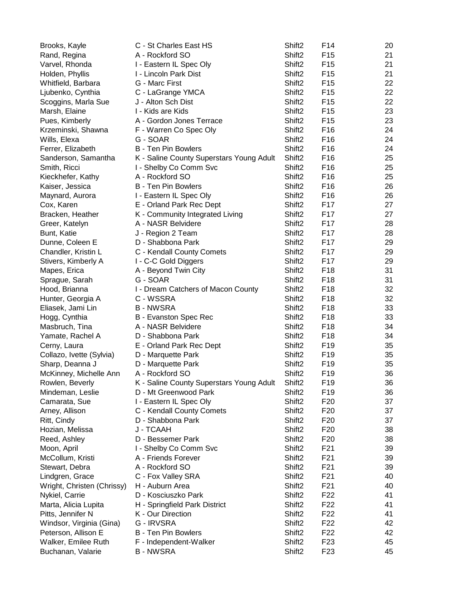| Brooks, Kayle              | C - St Charles East HS                   | Shift <sub>2</sub> | F14             | 20 |
|----------------------------|------------------------------------------|--------------------|-----------------|----|
| Rand, Regina               | A - Rockford SO                          | Shift <sub>2</sub> | F <sub>15</sub> | 21 |
| Varvel, Rhonda             | I - Eastern IL Spec Oly                  | Shift <sub>2</sub> | F <sub>15</sub> | 21 |
| Holden, Phyllis            | I - Lincoln Park Dist                    | Shift <sub>2</sub> | F <sub>15</sub> | 21 |
| Whitfield, Barbara         | G - Marc First                           | Shift <sub>2</sub> | F <sub>15</sub> | 22 |
| Ljubenko, Cynthia          | C - LaGrange YMCA                        | Shift <sub>2</sub> | F <sub>15</sub> | 22 |
| Scoggins, Marla Sue        | J - Alton Sch Dist                       | Shift <sub>2</sub> | F <sub>15</sub> | 22 |
| Marsh, Elaine              | I - Kids are Kids                        | Shift <sub>2</sub> | F <sub>15</sub> | 23 |
| Pues, Kimberly             | A - Gordon Jones Terrace                 | Shift <sub>2</sub> | F <sub>15</sub> | 23 |
| Krzeminski, Shawna         | F - Warren Co Spec Oly                   | Shift <sub>2</sub> | F <sub>16</sub> | 24 |
| Wills, Elexa               | G - SOAR                                 | Shift <sub>2</sub> | F <sub>16</sub> | 24 |
| Ferrer, Elizabeth          | <b>B</b> - Ten Pin Bowlers               | Shift <sub>2</sub> | F <sub>16</sub> | 24 |
| Sanderson, Samantha        | K - Saline County Superstars Young Adult | Shift <sub>2</sub> | F <sub>16</sub> | 25 |
| Smith, Ricci               | I - Shelby Co Comm Svc                   | Shift <sub>2</sub> | F <sub>16</sub> | 25 |
| Kieckhefer, Kathy          | A - Rockford SO                          | Shift <sub>2</sub> | F <sub>16</sub> | 25 |
| Kaiser, Jessica            | <b>B</b> - Ten Pin Bowlers               | Shift <sub>2</sub> | F <sub>16</sub> | 26 |
| Maynard, Aurora            | I - Eastern IL Spec Oly                  | Shift <sub>2</sub> | F16             | 26 |
| Cox, Karen                 | E - Orland Park Rec Dept                 | Shift <sub>2</sub> | F <sub>17</sub> | 27 |
| Bracken, Heather           | K - Community Integrated Living          | Shift <sub>2</sub> | F <sub>17</sub> | 27 |
| Greer, Katelyn             | A - NASR Belvidere                       | Shift <sub>2</sub> | F <sub>17</sub> | 28 |
| Bunt, Katie                | J - Region 2 Team                        | Shift <sub>2</sub> | F <sub>17</sub> | 28 |
| Dunne, Coleen E            | D - Shabbona Park                        | Shift <sub>2</sub> | F <sub>17</sub> | 29 |
| Chandler, Kristin L        | C - Kendall County Comets                | Shift <sub>2</sub> | F <sub>17</sub> | 29 |
| Stivers, Kimberly A        | I - C-C Gold Diggers                     | Shift <sub>2</sub> | F <sub>17</sub> | 29 |
| Mapes, Erica               | A - Beyond Twin City                     | Shift <sub>2</sub> | F18             | 31 |
| Sprague, Sarah             | G - SOAR                                 | Shift <sub>2</sub> | F <sub>18</sub> | 31 |
| Hood, Brianna              | I - Dream Catchers of Macon County       | Shift <sub>2</sub> | F <sub>18</sub> | 32 |
| Hunter, Georgia A          | C - WSSRA                                | Shift <sub>2</sub> | F <sub>18</sub> | 32 |
| Eliasek, Jami Lin          | <b>B-NWSRA</b>                           | Shift <sub>2</sub> | F <sub>18</sub> | 33 |
| Hogg, Cynthia              | B - Evanston Spec Rec                    | Shift <sub>2</sub> | F <sub>18</sub> | 33 |
| Masbruch, Tina             | A - NASR Belvidere                       | Shift <sub>2</sub> | F <sub>18</sub> | 34 |
| Yamate, Rachel A           | D - Shabbona Park                        | Shift <sub>2</sub> | F <sub>18</sub> | 34 |
| Cerny, Laura               | E - Orland Park Rec Dept                 | Shift <sub>2</sub> | F <sub>19</sub> | 35 |
| Collazo, Ivette (Sylvia)   | D - Marquette Park                       | Shift <sub>2</sub> | F <sub>19</sub> | 35 |
| Sharp, Deanna J            | D - Marquette Park                       | Shift <sub>2</sub> | F <sub>19</sub> | 35 |
| McKinney, Michelle Ann     | A - Rockford SO                          | Shift <sub>2</sub> | F <sub>19</sub> | 36 |
| Rowlen, Beverly            | K - Saline County Superstars Young Adult | Shift <sub>2</sub> | F19             | 36 |
| Mindeman, Leslie           | D - Mt Greenwood Park                    | Shift <sub>2</sub> | F <sub>19</sub> | 36 |
| Camarata, Sue              | I - Eastern IL Spec Oly                  | Shift <sub>2</sub> | F <sub>20</sub> | 37 |
| Arney, Allison             | C - Kendall County Comets                | Shift <sub>2</sub> | F <sub>20</sub> | 37 |
| Ritt, Cindy                | D - Shabbona Park                        | Shift <sub>2</sub> | F <sub>20</sub> | 37 |
| Hozian, Melissa            | <b>J - TCAAH</b>                         | Shift <sub>2</sub> | F <sub>20</sub> | 38 |
| Reed, Ashley               | D - Bessemer Park                        | Shift <sub>2</sub> | F <sub>20</sub> | 38 |
| Moon, April                | I - Shelby Co Comm Svc                   | Shift <sub>2</sub> | F <sub>21</sub> | 39 |
| McCollum, Kristi           | A - Friends Forever                      | Shift <sub>2</sub> | F <sub>21</sub> | 39 |
| Stewart, Debra             | A - Rockford SO                          | Shift <sub>2</sub> | F <sub>21</sub> | 39 |
| Lindgren, Grace            | C - Fox Valley SRA                       | Shift <sub>2</sub> | F <sub>21</sub> | 40 |
| Wright, Christen (Chrissy) | H - Auburn Area                          | Shift <sub>2</sub> | F <sub>21</sub> | 40 |
| Nykiel, Carrie             | D - Kosciuszko Park                      | Shift <sub>2</sub> | F <sub>22</sub> | 41 |
| Marta, Alicia Lupita       | H - Springfield Park District            | Shift <sub>2</sub> | F <sub>22</sub> | 41 |
| Pitts, Jennifer N          | K - Our Direction                        | Shift <sub>2</sub> | F <sub>22</sub> | 41 |
| Windsor, Virginia (Gina)   | G - IRVSRA                               | Shift <sub>2</sub> | F <sub>22</sub> | 42 |
| Peterson, Allison E        | <b>B</b> - Ten Pin Bowlers               | Shift <sub>2</sub> | F <sub>22</sub> | 42 |
| Walker, Emilee Ruth        | F - Independent-Walker                   | Shift <sub>2</sub> | F <sub>23</sub> | 45 |
| Buchanan, Valarie          | <b>B-NWSRA</b>                           | Shift <sub>2</sub> | F <sub>23</sub> | 45 |
|                            |                                          |                    |                 |    |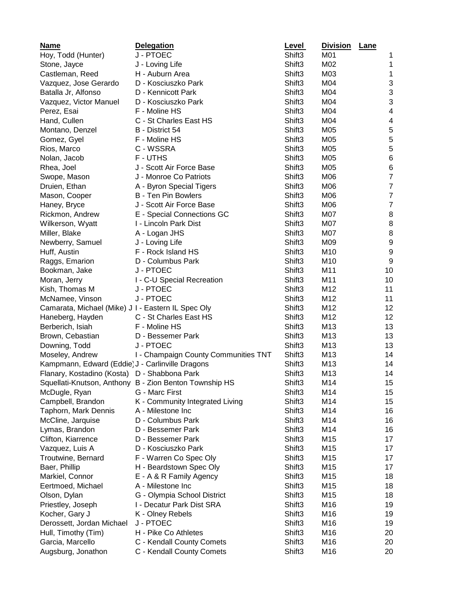| <b>Name</b>                                        | <b>Delegation</b>                                      | <b>Level</b>       | <b>Division</b> | Lane                      |
|----------------------------------------------------|--------------------------------------------------------|--------------------|-----------------|---------------------------|
| Hoy, Todd (Hunter)                                 | J - PTOEC                                              | Shift3             | M01             | 1                         |
| Stone, Jayce                                       | J - Loving Life                                        | Shift3             | M02             | 1                         |
| Castleman, Reed                                    | H - Auburn Area                                        | Shift <sub>3</sub> | M03             | 1                         |
| Vazquez, Jose Gerardo                              | D - Kosciuszko Park                                    | Shift <sub>3</sub> | M04             | 3                         |
| Batalla Jr, Alfonso                                | D - Kennicott Park                                     | Shift <sub>3</sub> | M04             | 3                         |
| Vazquez, Victor Manuel                             | D - Kosciuszko Park                                    | Shift <sub>3</sub> | M04             | $\ensuremath{\mathsf{3}}$ |
| Perez, Esai                                        | F - Moline HS                                          | Shift <sub>3</sub> | M04             | 4                         |
| Hand, Cullen                                       | C - St Charles East HS                                 | Shift <sub>3</sub> | M04             | 4                         |
| Montano, Denzel                                    | B - District 54                                        | Shift <sub>3</sub> | M05             | 5                         |
| Gomez, Gyel                                        | F - Moline HS                                          | Shift3             | M05             | 5                         |
| Rios, Marco                                        | C - WSSRA                                              | Shift <sub>3</sub> | M05             | 5                         |
| Nolan, Jacob                                       | F-UTHS                                                 | Shift <sub>3</sub> | M05             | $\,6$                     |
| Rhea, Joel                                         | J - Scott Air Force Base                               | Shift <sub>3</sub> | M05             | $\,6$                     |
| Swope, Mason                                       | J - Monroe Co Patriots                                 | Shift <sub>3</sub> | M06             | $\overline{7}$            |
| Druien, Ethan                                      | A - Byron Special Tigers                               | Shift3             | M06             | $\overline{7}$            |
| Mason, Cooper                                      | <b>B</b> - Ten Pin Bowlers                             | Shift <sub>3</sub> | M06             | $\overline{7}$            |
| Haney, Bryce                                       | J - Scott Air Force Base                               | Shift3             | M06             | $\overline{7}$            |
| Rickmon, Andrew                                    | E - Special Connections GC                             | Shift <sub>3</sub> | M07             | $\, 8$                    |
| Wilkerson, Wyatt                                   | I - Lincoln Park Dist                                  | Shift3             | M07             | $\, 8$                    |
| Miller, Blake                                      | A - Logan JHS                                          | Shift <sub>3</sub> | M07             | 8                         |
| Newberry, Samuel                                   | J - Loving Life                                        | Shift3             | M09             | $\boldsymbol{9}$          |
| Huff, Austin                                       | F - Rock Island HS                                     | Shift <sub>3</sub> | M10             | 9                         |
| Raggs, Emarion                                     | D - Columbus Park                                      | Shift <sub>3</sub> | M10             | 9                         |
| Bookman, Jake                                      | J - PTOEC                                              | Shift <sub>3</sub> | M11             | 10                        |
| Moran, Jerry                                       | I - C-U Special Recreation                             | Shift <sub>3</sub> | M11             | 10                        |
| Kish, Thomas M                                     | J - PTOEC                                              | Shift <sub>3</sub> | M12             | 11                        |
| McNamee, Vinson                                    | J - PTOEC                                              | Shift3             | M12             | 11                        |
| Camarata, Michael (Mike) J I - Eastern IL Spec Oly |                                                        | Shift <sub>3</sub> | M12             | 12                        |
| Haneberg, Hayden                                   | C - St Charles East HS                                 | Shift <sub>3</sub> | M12             | 12                        |
| Berberich, Isiah                                   | F - Moline HS                                          | Shift <sub>3</sub> | M13             | 13                        |
| Brown, Cebastian                                   | D - Bessemer Park                                      | Shift3             | M13             | 13                        |
| Downing, Todd                                      | J - PTOEC                                              | Shift3             | M13             | 13                        |
| Moseley, Andrew                                    | I - Champaign County Communities TNT                   | Shift3             | M13             | 14                        |
| Kampmann, Edward (Eddie) J - Carlinville Dragons   |                                                        | Shift3             | M13             | 14                        |
| Flanary, Kostadino (Kosta) D - Shabbona Park       |                                                        | Shift3             | M13             | 14                        |
|                                                    | Squellati-Knutson, Anthony B - Zion Benton Township HS | Shift3             | M14             | 15                        |
| McDugle, Ryan                                      | G - Marc First                                         | Shift <sub>3</sub> | M14             | 15                        |
| Campbell, Brandon                                  | K - Community Integrated Living                        | Shift <sub>3</sub> | M14             | 15                        |
| Taphorn, Mark Dennis                               | A - Milestone Inc                                      | Shift <sub>3</sub> | M14             | 16                        |
| McCline, Jarquise                                  | D - Columbus Park                                      | Shift <sub>3</sub> | M14             | 16                        |
| Lymas, Brandon                                     | D - Bessemer Park                                      | Shift <sub>3</sub> | M14             | 16                        |
| Clifton, Kiarrence                                 | D - Bessemer Park                                      | Shift3             | M15             | 17                        |
| Vazquez, Luis A                                    | D - Kosciuszko Park                                    | Shift <sub>3</sub> | M15             | 17                        |
| Troutwine, Bernard                                 | F - Warren Co Spec Oly                                 | Shift <sub>3</sub> | M15             | 17                        |
| Baer, Phillip                                      | H - Beardstown Spec Oly                                | Shift <sub>3</sub> | M15             | 17                        |
| Markiel, Connor                                    | E - A & R Family Agency                                | Shift <sub>3</sub> | M15             | 18                        |
| Eertmoed, Michael                                  | A - Milestone Inc                                      | Shift3             | M15             | 18                        |
| Olson, Dylan                                       | G - Olympia School District                            | Shift3             | M15             | 18                        |
| Priestley, Joseph                                  | I - Decatur Park Dist SRA                              | Shift3             | M16             | 19                        |
| Kocher, Gary J                                     | K - Olney Rebels                                       | Shift3             | M16             | 19                        |
| Derossett, Jordan Michael                          | J - PTOEC                                              | Shift <sub>3</sub> | M16             | 19                        |
| Hull, Timothy (Tim)                                | H - Pike Co Athletes                                   | Shift <sub>3</sub> | M16             | 20                        |
| Garcia, Marcello                                   | C - Kendall County Comets                              | Shift <sub>3</sub> | M16             | 20                        |
| Augsburg, Jonathon                                 | C - Kendall County Comets                              | Shift3             | M16             | 20                        |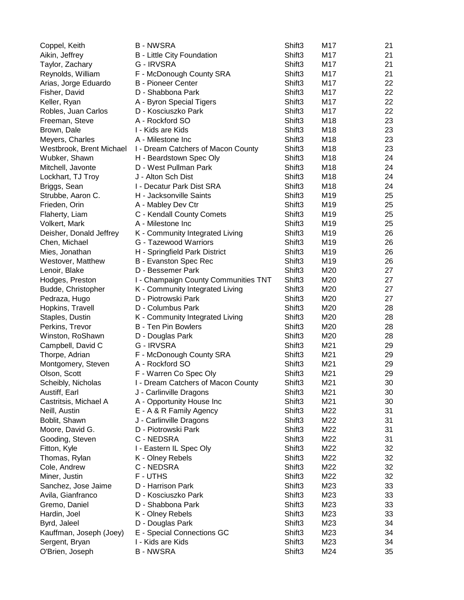| Coppel, Keith            | <b>B-NWSRA</b>                       | Shift3             | M17             | 21 |
|--------------------------|--------------------------------------|--------------------|-----------------|----|
| Aikin, Jeffrey           | B - Little City Foundation           | Shift3             | M17             | 21 |
| Taylor, Zachary          | G - IRVSRA                           | Shift3             | M17             | 21 |
| Reynolds, William        | F - McDonough County SRA             | Shift <sub>3</sub> | M17             | 21 |
| Arias, Jorge Eduardo     | <b>B</b> - Pioneer Center            | Shift <sub>3</sub> | M17             | 22 |
| Fisher, David            | D - Shabbona Park                    | Shift <sub>3</sub> | M17             | 22 |
| Keller, Ryan             | A - Byron Special Tigers             | Shift3             | M17             | 22 |
| Robles, Juan Carlos      | D - Kosciuszko Park                  | Shift3             | M17             | 22 |
| Freeman, Steve           | A - Rockford SO                      | Shift3             | M18             | 23 |
| Brown, Dale              | I - Kids are Kids                    | Shift <sub>3</sub> | M18             | 23 |
| Meyers, Charles          | A - Milestone Inc                    | Shift3             | M18             | 23 |
| Westbrook, Brent Michael | I - Dream Catchers of Macon County   | Shift3             | M18             | 23 |
| Wubker, Shawn            | H - Beardstown Spec Oly              | Shift3             | M18             | 24 |
| Mitchell, Javonte        | D - West Pullman Park                | Shift3             | M18             | 24 |
| Lockhart, TJ Troy        | J - Alton Sch Dist                   | Shift3             | M18             | 24 |
| Briggs, Sean             | I - Decatur Park Dist SRA            | Shift3             | M18             | 24 |
| Strubbe, Aaron C.        | H - Jacksonville Saints              | Shift3             | M19             | 25 |
| Frieden, Orin            | A - Mabley Dev Ctr                   | Shift3             | M19             | 25 |
| Flaherty, Liam           | C - Kendall County Comets            | Shift3             | M <sub>19</sub> | 25 |
| Volkert, Mark            | A - Milestone Inc                    | Shift3             | M19             | 25 |
| Deisher, Donald Jeffrey  | K - Community Integrated Living      | Shift3             | M19             | 26 |
| Chen, Michael            | G - Tazewood Warriors                | Shift <sub>3</sub> | M19             | 26 |
| Mies, Jonathan           | H - Springfield Park District        | Shift <sub>3</sub> | M19             | 26 |
| Westover, Matthew        | B - Evanston Spec Rec                | Shift <sub>3</sub> | M19             | 26 |
| Lenoir, Blake            | D - Bessemer Park                    | Shift3             | M20             | 27 |
| Hodges, Preston          | I - Champaign County Communities TNT | Shift3             | M20             | 27 |
| Budde, Christopher       | K - Community Integrated Living      | Shift3             | M20             | 27 |
| Pedraza, Hugo            | D - Piotrowski Park                  | Shift3             | M20             | 27 |
| Hopkins, Travell         | D - Columbus Park                    | Shift3             | M20             | 28 |
| Staples, Dustin          | K - Community Integrated Living      | Shift3             | M20             | 28 |
| Perkins, Trevor          | <b>B</b> - Ten Pin Bowlers           | Shift <sub>3</sub> | M20             | 28 |
| Winston, RoShawn         | D - Douglas Park                     | Shift3             | M20             | 28 |
| Campbell, David C        | G - IRVSRA                           | Shift <sub>3</sub> | M21             | 29 |
| Thorpe, Adrian           | F - McDonough County SRA             | Shift <sub>3</sub> | M21             | 29 |
| Montgomery, Steven       | A - Rockford SO                      | Shift3             | M21             | 29 |
| Olson, Scott             | F - Warren Co Spec Oly               | Shift3             | M21             | 29 |
| Scheibly, Nicholas       | I - Dream Catchers of Macon County   | Shift3             | M21             | 30 |
| Austiff, Earl            | J - Carlinville Dragons              | Shift3             | M21             | 30 |
| Castritsis, Michael A    | A - Opportunity House Inc            | Shift3             | M21             | 30 |
| Neill, Austin            | E - A & R Family Agency              | Shift <sub>3</sub> | M22             | 31 |
| Boblit, Shawn            | J - Carlinville Dragons              | Shift <sub>3</sub> | M22             | 31 |
| Moore, David G.          | D - Piotrowski Park                  | Shift3             | M22             | 31 |
| Gooding, Steven          | C - NEDSRA                           | Shift3             | M22             | 31 |
| Fitton, Kyle             | I - Eastern IL Spec Oly              | Shift <sub>3</sub> | M22             | 32 |
| Thomas, Rylan            | K - Olney Rebels                     | Shift3             | M22             | 32 |
| Cole, Andrew             | C - NEDSRA                           | Shift3             | M22             | 32 |
| Miner, Justin            | F-UTHS                               | Shift <sub>3</sub> | M22             | 32 |
| Sanchez, Jose Jaime      | D - Harrison Park                    | Shift <sub>3</sub> | M23             | 33 |
| Avila, Gianfranco        | D - Kosciuszko Park                  | Shift3             | M23             | 33 |
| Gremo, Daniel            | D - Shabbona Park                    | Shift3             | M23             | 33 |
| Hardin, Joel             | K - Olney Rebels                     | Shift3             | M23             | 33 |
| Byrd, Jaleel             | D - Douglas Park                     | Shift3             | M23             | 34 |
| Kauffman, Joseph (Joey)  | E - Special Connections GC           | Shift3             | M23             | 34 |
| Sergent, Bryan           | I - Kids are Kids                    | Shift3             | M23             | 34 |
| O'Brien, Joseph          | <b>B-NWSRA</b>                       | Shift3             | M24             | 35 |
|                          |                                      |                    |                 |    |